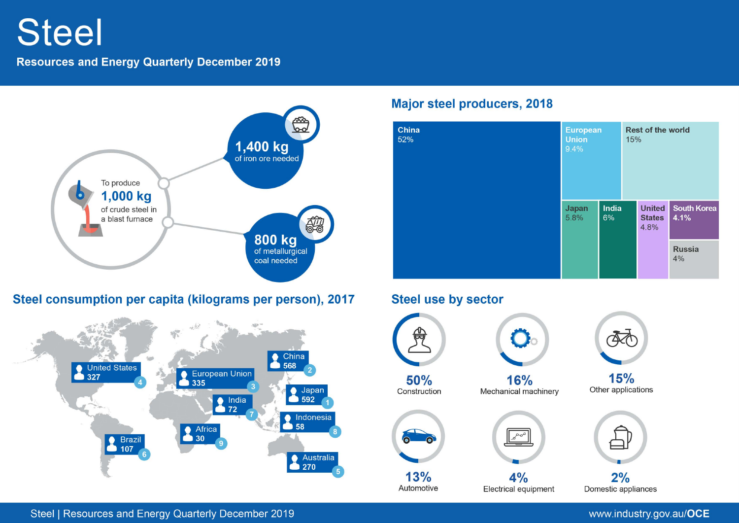# **Steel**

## **Resources and Energy Quarterly December 2019**



# Steel consumption per capita (kilograms per person), 2017



## **Major steel producers, 2018**



# **Steel use by sector**

Automotive



 $4%$ Electrical equipment

 $2%$ Domestic appliances

Steel | Resources and Energy Quarterly December 2019

## www.industry.gov.au/OCE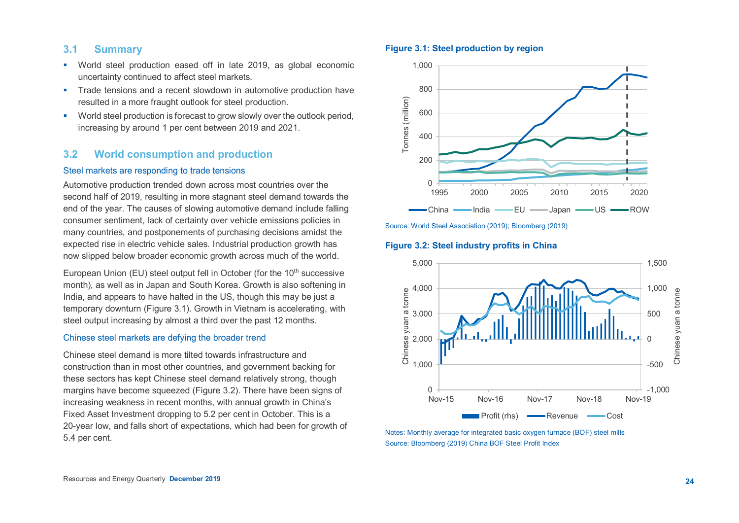#### **3.1 Summary**

- World steel production eased off in late 2019, as global economic uncertainty continued to affect steel markets.
- **Trade tensions and a recent slowdown in automotive production have** resulted in a more fraught outlook for steel production.
- **•** World steel production is forecast to grow slowly over the outlook period, increasing by around 1 per cent between 2019 and 2021.

## **3.2 World consumption and production**

#### Steel markets are responding to trade tensions

Automotive production trended down across most countries over the second half of 2019, resulting in more stagnant steel demand towards the end of the year. The causes of slowing automotive demand include falling consumer sentiment, lack of certainty over vehicle emissions policies in many countries, and postponements of purchasing decisions amidst the expected rise in electric vehicle sales. Industrial production growth has now slipped below broader economic growth across much of the world.

European Union (EU) steel output fell in October (for the 10<sup>th</sup> successive month), as well as in Japan and South Korea. Growth is also softening in India, and appears to have halted in the US, though this may be just a temporary downturn (Figure 3.1). Growth in Vietnam is accelerating, with steel output increasing by almost a third over the past 12 months.

#### Chinese steel markets are defying the broader trend

Chinese steel demand is more tilted towards infrastructure and construction than in most other countries, and government backing for these sectors has kept Chinese steel demand relatively strong, though margins have become squeezed (Figure 3.2). There have been signs of increasing weakness in recent months, with annual growth in China's Fixed Asset Investment dropping to 5.2 per cent in October. This is a 20-year low, and falls short of expectations, which had been for growth of 5.4 per cent.

#### **Figure 3.1: Steel production by region**



Source: World Steel Association (2019); Bloomberg (2019)

#### **Figure 3.2: Steel industry profits in China**



Notes: Monthly average for integrated basic oxygen furnace (BOF) steel mills Source: Bloomberg (2019) China BOF Steel Profit Index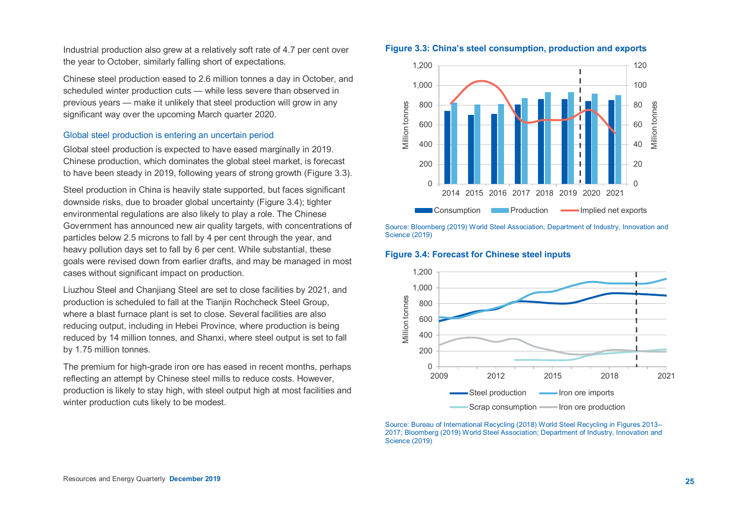Industrial production also grew at a relatively soft rate of 4.7 per cent over the year to October, similarly falling short of expectations.

Chinese steel production eased to 2.6 million tonnes a day in October, and scheduled winter production cuts — while less severe than observed in previous years — make it unlikely that steel production will grow in any significant way over the upcoming March quarter 2020.

#### Global steel production is entering an uncertain period

Global steel production is expected to have eased marginally in 2019. Chinese production, which dominates the global steel market, is forecast to have been steady in 2019, following years of strong growth (Figure 3.3).

Steel production in China is heavily state supported, but faces significant downside risks, due to broader global uncertainty (Figure 3.4); tighter environmental regulations are also likely to play a role. The Chinese Government has announced new air quality targets, with concentrations of particles below 2.5 microns to fall by 4 per cent through the year, and heavy pollution days set to fall by 6 per cent. While substantial, these goals were revised down from earlier drafts, and may be managed in most cases without significant impact on production.

Liuzhou Steel and Chanjiang Steel are set to close facilities by 2021, and production is scheduled to fall at the Tianjin Rochcheck Steel Group, where a blast furnace plant is set to close. Several facilities are also reducing output, including in Hebei Province, where production is being reduced by 14 million tonnes, and Shanxi, where steel output is set to fall by 1.75 million tonnes.

The premium for high-grade iron ore has eased in recent months, perhaps reflecting an attempt by Chinese steel mills to reduce costs. However, production is likely to stay high, with steel output high at most facilities and winter production cuts likely to be modest.

#### **Figure 3.3: China's steel consumption, production and exports**



Source: Bloomberg (2019) World Steel Association; Department of Industry, Innovation and Science (2019)

#### **Figure 3.4: Forecast for Chinese steel inputs**



Source: Bureau of International Recycling (2018) World Steel Recycling in Figures 2013– 2017; Bloomberg (2019) World Steel Association; Department of Industry, Innovation and Science (2019)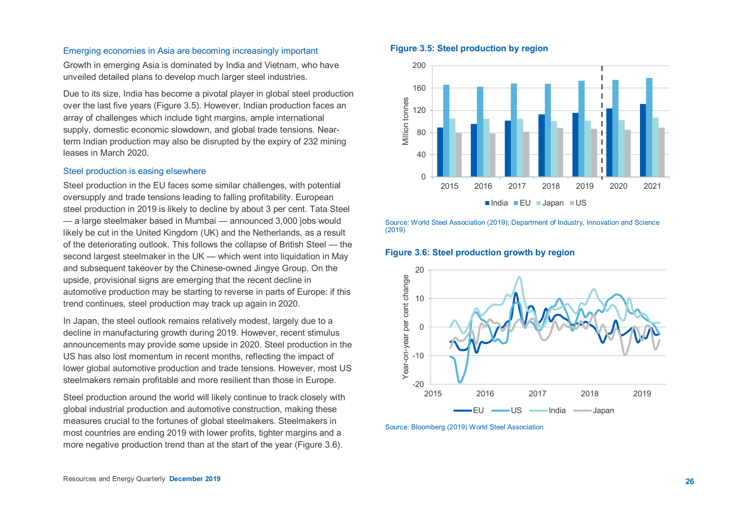#### Emerging economies in Asia are becoming increasingly important

Growth in emerging Asia is dominated by India and Vietnam, who have unveiled detailed plans to develop much larger steel industries.

Due to its size, India has become a pivotal player in global steel production over the last five years (Figure 3.5). However, Indian production faces an array of challenges which include tight margins, ample international supply, domestic economic slowdown, and global trade tensions. Nearterm Indian production may also be disrupted by the expiry of 232 mining leases in March 2020.

#### Steel production is easing elsewhere

Steel production in the EU faces some similar challenges, with potential oversupply and trade tensions leading to falling profitability. European steel production in 2019 is likely to decline by about 3 per cent. Tata Steel — a large steelmaker based in Mumbai — announced 3,000 jobs would likely be cut in the United Kingdom (UK) and the Netherlands, as a result of the deteriorating outlook. This follows the collapse of British Steel — the second largest steelmaker in the UK — which went into liquidation in May and subsequent takeover by the Chinese-owned Jingye Group. On the upside, provisional signs are emerging that the recent decline in automotive production may be starting to reverse in parts of Europe: if this trend continues, steel production may track up again in 2020.

In Japan, the steel outlook remains relatively modest, largely due to a decline in manufacturing growth during 2019. However, recent stimulus announcements may provide some upside in 2020. Steel production in the US has also lost momentum in recent months, reflecting the impact of lower global automotive production and trade tensions. However, most US steelmakers remain profitable and more resilient than those in Europe.

Steel production around the world will likely continue to track closely with global industrial production and automotive construction, making these measures crucial to the fortunes of global steelmakers. Steelmakers in most countries are ending 2019 with lower profits, tighter margins and a more negative production trend than at the start of the year (Figure 3.6).

#### **Figure 3.5: Steel production by region**



Source: World Steel Association (2019); Department of Industry, Innovation and Science (2019)

#### **Figure 3.6: Steel production growth by region**



Source: Bloomberg (2019) World Steel Association